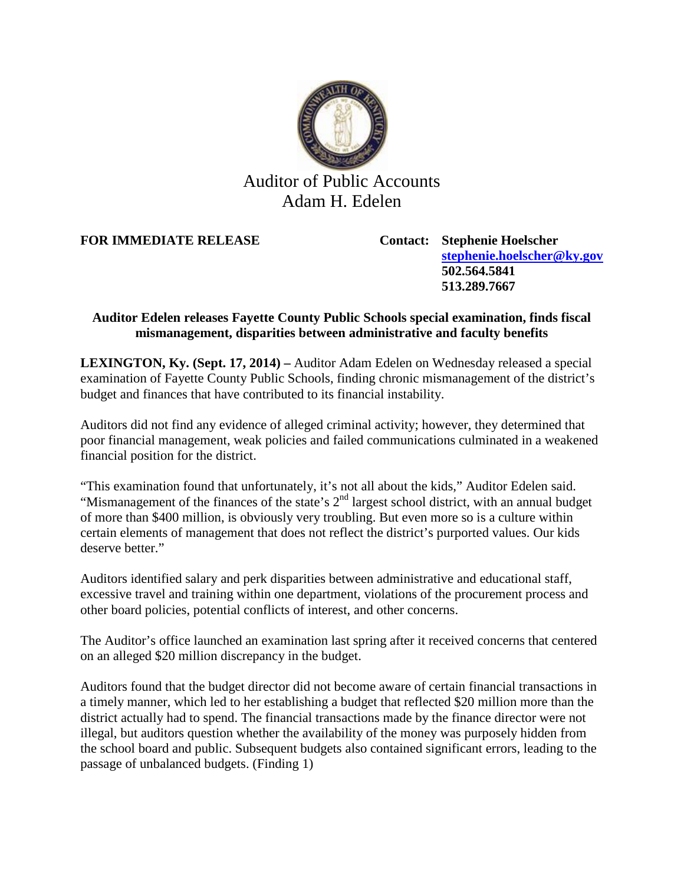

## Auditor of Public Accounts Adam H. Edelen

**FOR IMMEDIATE RELEASE Contact: Stephenie Hoelscher**

**[stephenie.hoelscher@ky.gov](mailto:stephenie.hoelscher@ky.gov) 502.564.5841 513.289.7667**

## **Auditor Edelen releases Fayette County Public Schools special examination, finds fiscal mismanagement, disparities between administrative and faculty benefits**

**LEXINGTON, Ky. (Sept. 17, 2014) –** Auditor Adam Edelen on Wednesday released a special examination of Fayette County Public Schools, finding chronic mismanagement of the district's budget and finances that have contributed to its financial instability.

Auditors did not find any evidence of alleged criminal activity; however, they determined that poor financial management, weak policies and failed communications culminated in a weakened financial position for the district.

"This examination found that unfortunately, it's not all about the kids," Auditor Edelen said. "Mismanagement of the finances of the state's  $2<sup>nd</sup>$  largest school district, with an annual budget of more than \$400 million, is obviously very troubling. But even more so is a culture within certain elements of management that does not reflect the district's purported values. Our kids deserve better."

Auditors identified salary and perk disparities between administrative and educational staff, excessive travel and training within one department, violations of the procurement process and other board policies, potential conflicts of interest, and other concerns.

The Auditor's office launched an examination last spring after it received concerns that centered on an alleged \$20 million discrepancy in the budget.

Auditors found that the budget director did not become aware of certain financial transactions in a timely manner, which led to her establishing a budget that reflected \$20 million more than the district actually had to spend. The financial transactions made by the finance director were not illegal, but auditors question whether the availability of the money was purposely hidden from the school board and public. Subsequent budgets also contained significant errors, leading to the passage of unbalanced budgets. (Finding 1)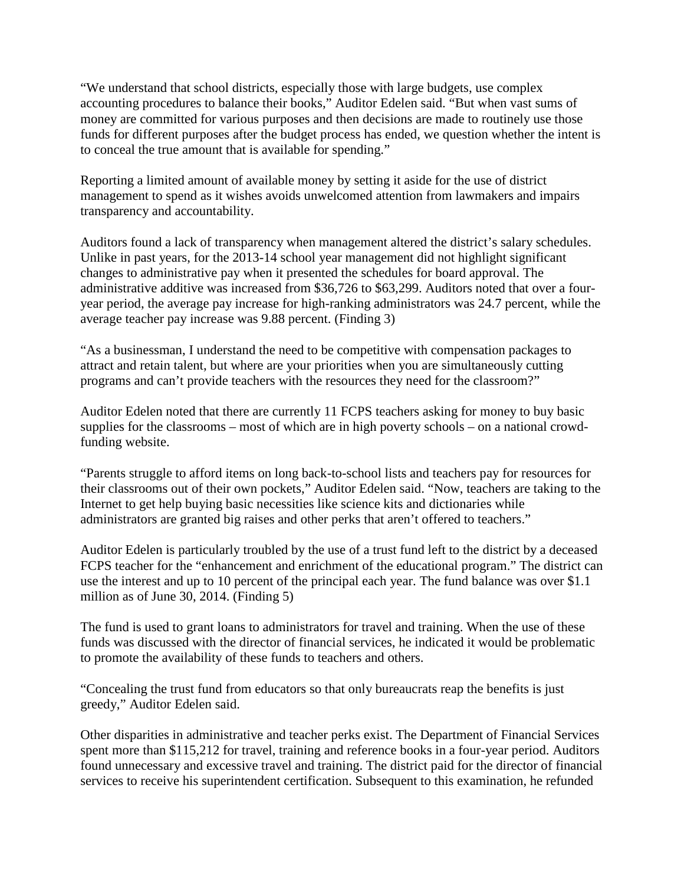"We understand that school districts, especially those with large budgets, use complex accounting procedures to balance their books," Auditor Edelen said. "But when vast sums of money are committed for various purposes and then decisions are made to routinely use those funds for different purposes after the budget process has ended, we question whether the intent is to conceal the true amount that is available for spending."

Reporting a limited amount of available money by setting it aside for the use of district management to spend as it wishes avoids unwelcomed attention from lawmakers and impairs transparency and accountability.

Auditors found a lack of transparency when management altered the district's salary schedules. Unlike in past years, for the 2013-14 school year management did not highlight significant changes to administrative pay when it presented the schedules for board approval. The administrative additive was increased from \$36,726 to \$63,299. Auditors noted that over a fouryear period, the average pay increase for high-ranking administrators was 24.7 percent, while the average teacher pay increase was 9.88 percent. (Finding 3)

"As a businessman, I understand the need to be competitive with compensation packages to attract and retain talent, but where are your priorities when you are simultaneously cutting programs and can't provide teachers with the resources they need for the classroom?"

Auditor Edelen noted that there are currently 11 FCPS teachers asking for money to buy basic supplies for the classrooms – most of which are in high poverty schools – on a national crowdfunding website.

"Parents struggle to afford items on long back-to-school lists and teachers pay for resources for their classrooms out of their own pockets," Auditor Edelen said. "Now, teachers are taking to the Internet to get help buying basic necessities like science kits and dictionaries while administrators are granted big raises and other perks that aren't offered to teachers."

Auditor Edelen is particularly troubled by the use of a trust fund left to the district by a deceased FCPS teacher for the "enhancement and enrichment of the educational program." The district can use the interest and up to 10 percent of the principal each year. The fund balance was over \$1.1 million as of June 30, 2014. (Finding 5)

The fund is used to grant loans to administrators for travel and training. When the use of these funds was discussed with the director of financial services, he indicated it would be problematic to promote the availability of these funds to teachers and others.

"Concealing the trust fund from educators so that only bureaucrats reap the benefits is just greedy," Auditor Edelen said.

Other disparities in administrative and teacher perks exist. The Department of Financial Services spent more than \$115,212 for travel, training and reference books in a four-year period. Auditors found unnecessary and excessive travel and training. The district paid for the director of financial services to receive his superintendent certification. Subsequent to this examination, he refunded